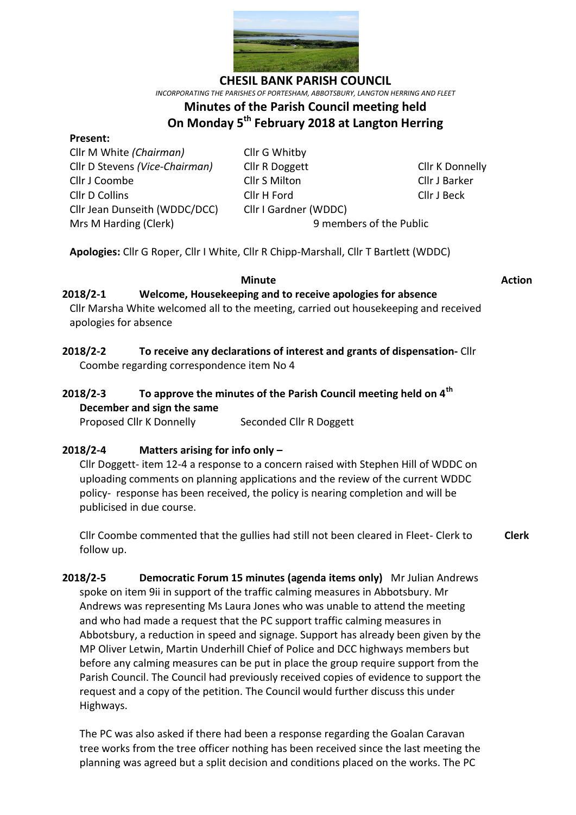

**CHESIL BANK PARISH COUNCIL**

*INCORPORATING THE PARISHES OF PORTESHAM, ABBOTSBURY, LANGTON HERRING AND FLEET*

# **Minutes of the Parish Council meeting held**

**On Monday 5 th February 2018 at Langton Herring**

#### **Present:**

Cllr M White *(Chairman)* Cllr G Whitby Cllr D Stevens *(Vice-Chairman)* Cllr R Doggett Cllr K Donnelly Cllr J Coombe Cllr S Milton Cllr J Barker Cllr D Collins Cllr H Ford Cllr J Beck Cllr Jean Dunseith (WDDC/DCC) Cllr I Gardner (WDDC) Mrs M Harding (Clerk)9 members of the Public

**Apologies:** Cllr G Roper, Cllr I White, Cllr R Chipp-Marshall, Cllr T Bartlett (WDDC)

#### **Minute Action**

# **2018/2-1 Welcome, Housekeeping and to receive apologies for absence** Cllr Marsha White welcomed all to the meeting, carried out housekeeping and received

apologies for absence

**2018/2-2 To receive any declarations of interest and grants of dispensation-** Cllr Coombe regarding correspondence item No 4

# **2018/2-3 To approve the minutes of the Parish Council meeting held on 4th December and sign the same**

Proposed Cllr K Donnelly Seconded Cllr R Doggett

# **2018/2-4 Matters arising for info only –**

Cllr Doggett- item 12-4 a response to a concern raised with Stephen Hill of WDDC on uploading comments on planning applications and the review of the current WDDC policy- response has been received, the policy is nearing completion and will be publicised in due course.

Cllr Coombe commented that the gullies had still not been cleared in Fleet- Clerk to follow up. **Clerk**

**2018/2-5 Democratic Forum 15 minutes (agenda items only)** Mr Julian Andrews spoke on item 9ii in support of the traffic calming measures in Abbotsbury. Mr Andrews was representing Ms Laura Jones who was unable to attend the meeting and who had made a request that the PC support traffic calming measures in Abbotsbury, a reduction in speed and signage. Support has already been given by the MP Oliver Letwin, Martin Underhill Chief of Police and DCC highways members but before any calming measures can be put in place the group require support from the Parish Council. The Council had previously received copies of evidence to support the request and a copy of the petition. The Council would further discuss this under Highways.

The PC was also asked if there had been a response regarding the Goalan Caravan tree works from the tree officer nothing has been received since the last meeting the planning was agreed but a split decision and conditions placed on the works. The PC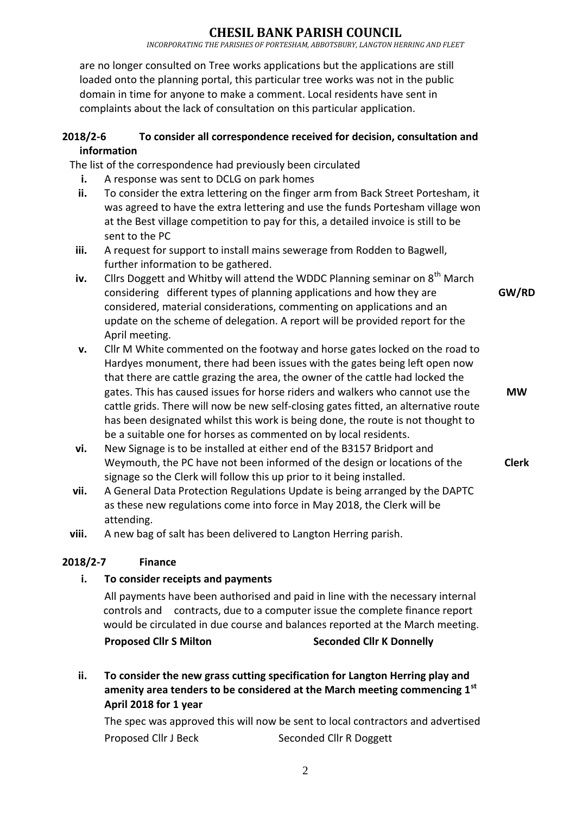are no longer consulted on Tree works applications but the applications are still loaded onto the planning portal, this particular tree works was not in the public domain in time for anyone to make a comment. Local residents have sent in complaints about the lack of consultation on this particular application.

# **2018/2-6 To consider all correspondence received for decision, consultation and information**

The list of the correspondence had previously been circulated

- **i.** A response was sent to DCLG on park homes
- **ii.** To consider the extra lettering on the finger arm from Back Street Portesham, it was agreed to have the extra lettering and use the funds Portesham village won at the Best village competition to pay for this, a detailed invoice is still to be sent to the PC
- **iii.** A request for support to install mains sewerage from Rodden to Bagwell, further information to be gathered.
- **iv.** Cllrs Doggett and Whitby will attend the WDDC Planning seminar on 8<sup>th</sup> March considering different types of planning applications and how they are considered, material considerations, commenting on applications and an update on the scheme of delegation. A report will be provided report for the April meeting.

**GW/RD**

**MW**

- **v.** Cllr M White commented on the footway and horse gates locked on the road to Hardyes monument, there had been issues with the gates being left open now that there are cattle grazing the area, the owner of the cattle had locked the gates. This has caused issues for horse riders and walkers who cannot use the cattle grids. There will now be new self-closing gates fitted, an alternative route has been designated whilst this work is being done, the route is not thought to be a suitable one for horses as commented on by local residents.
- **vi.** New Signage is to be installed at either end of the B3157 Bridport and Weymouth, the PC have not been informed of the design or locations of the signage so the Clerk will follow this up prior to it being installed. **Clerk**
- **vii.** A General Data Protection Regulations Update is being arranged by the DAPTC as these new regulations come into force in May 2018, the Clerk will be attending.
- **viii.** A new bag of salt has been delivered to Langton Herring parish.

# **2018/2-7 Finance**

**i. To consider receipts and payments**

All payments have been authorised and paid in line with the necessary internal controls and contracts, due to a computer issue the complete finance report would be circulated in due course and balances reported at the March meeting. **Proposed Clir S Milton Seconded Clir K Donnelly** 

**ii. To consider the new grass cutting specification for Langton Herring play and amenity area tenders to be considered at the March meeting commencing 1st April 2018 for 1 year**

The spec was approved this will now be sent to local contractors and advertised Proposed Cllr J Beck Seconded Cllr R Doggett

2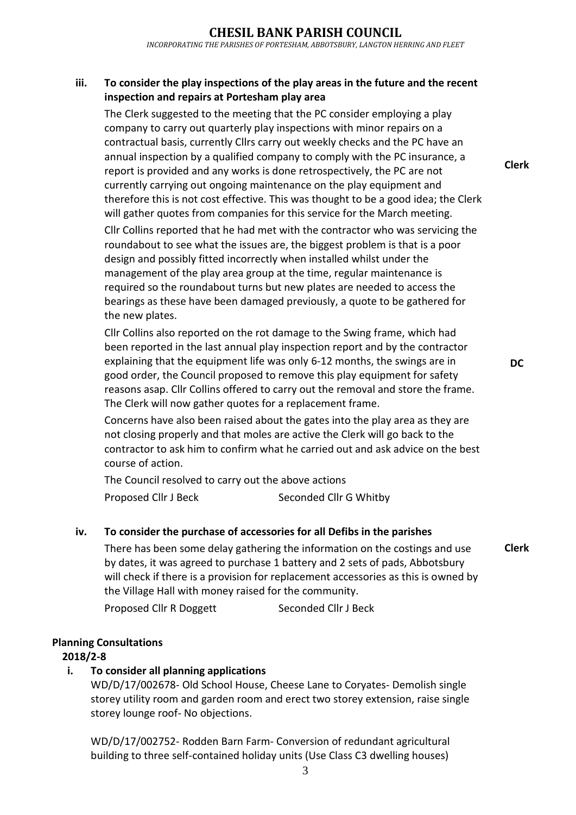### **iii. To consider the play inspections of the play areas in the future and the recent inspection and repairs at Portesham play area**

The Clerk suggested to the meeting that the PC consider employing a play company to carry out quarterly play inspections with minor repairs on a contractual basis, currently Cllrs carry out weekly checks and the PC have an annual inspection by a qualified company to comply with the PC insurance, a report is provided and any works is done retrospectively, the PC are not currently carrying out ongoing maintenance on the play equipment and therefore this is not cost effective. This was thought to be a good idea; the Clerk will gather quotes from companies for this service for the March meeting.

Cllr Collins reported that he had met with the contractor who was servicing the roundabout to see what the issues are, the biggest problem is that is a poor design and possibly fitted incorrectly when installed whilst under the management of the play area group at the time, regular maintenance is required so the roundabout turns but new plates are needed to access the bearings as these have been damaged previously, a quote to be gathered for the new plates.

Cllr Collins also reported on the rot damage to the Swing frame, which had been reported in the last annual play inspection report and by the contractor explaining that the equipment life was only 6-12 months, the swings are in good order, the Council proposed to remove this play equipment for safety reasons asap. Cllr Collins offered to carry out the removal and store the frame. The Clerk will now gather quotes for a replacement frame.

Concerns have also been raised about the gates into the play area as they are not closing properly and that moles are active the Clerk will go back to the contractor to ask him to confirm what he carried out and ask advice on the best course of action.

The Council resolved to carry out the above actions Proposed Cllr J Beck Seconded Cllr G Whitby

# **iv. To consider the purchase of accessories for all Defibs in the parishes**

There has been some delay gathering the information on the costings and use by dates, it was agreed to purchase 1 battery and 2 sets of pads, Abbotsbury will check if there is a provision for replacement accessories as this is owned by the Village Hall with money raised for the community. **Clerk**

Proposed Cllr R Doggett Seconded Cllr J Beck

#### **Planning Consultations**

#### **2018/2-8**

#### **i. To consider all planning applications**

WD/D/17/002678- Old School House, Cheese Lane to Coryates- Demolish single storey utility room and garden room and erect two storey extension, raise single storey lounge roof- No objections.

WD/D/17/002752- Rodden Barn Farm- Conversion of redundant agricultural building to three self-contained holiday units (Use Class C3 dwelling houses)

**Clerk**

**DC**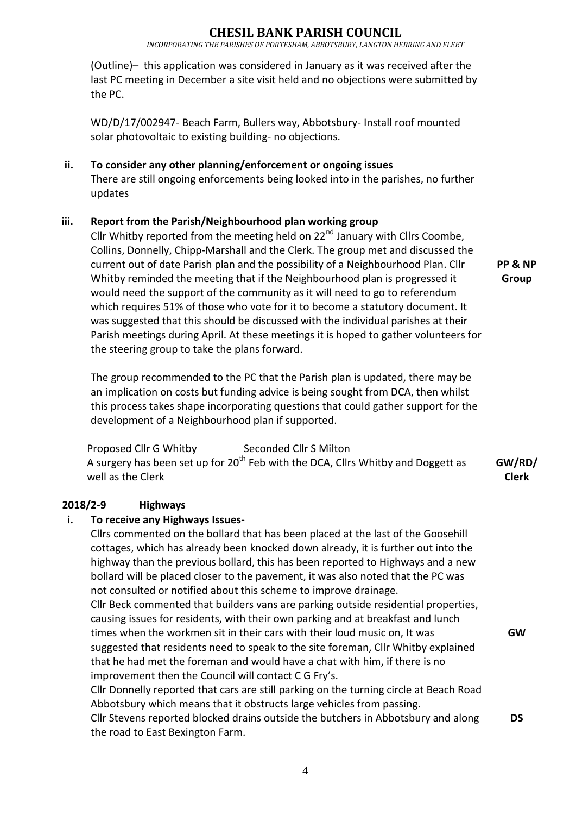#### **CHESIL BANK PARISH COUNCIL** *INCORPORATING THE PARISHES OF PORTESHAM, ABBOTSBURY, LANGTON HERRING AND FLEET*

(Outline)– this application was considered in January as it was received after the last PC meeting in December a site visit held and no objections were submitted by the PC.

WD/D/17/002947- Beach Farm, Bullers way, Abbotsbury- Install roof mounted solar photovoltaic to existing building- no objections.

**ii. To consider any other planning/enforcement or ongoing issues** There are still ongoing enforcements being looked into in the parishes, no further updates

# **iii. Report from the Parish/Neighbourhood plan working group**

Cllr Whitby reported from the meeting held on  $22^{nd}$  January with Cllrs Coombe, Collins, Donnelly, Chipp-Marshall and the Clerk. The group met and discussed the current out of date Parish plan and the possibility of a Neighbourhood Plan. Cllr Whitby reminded the meeting that if the Neighbourhood plan is progressed it would need the support of the community as it will need to go to referendum which requires 51% of those who vote for it to become a statutory document. It was suggested that this should be discussed with the individual parishes at their Parish meetings during April. At these meetings it is hoped to gather volunteers for the steering group to take the plans forward.

The group recommended to the PC that the Parish plan is updated, there may be an implication on costs but funding advice is being sought from DCA, then whilst this process takes shape incorporating questions that could gather support for the development of a Neighbourhood plan if supported.

Proposed Cllr G Whitby Seconded Cllr S Milton A surgery has been set up for  $20<sup>th</sup>$  Feb with the DCA, Cllrs Whitby and Doggett as well as the Clerk **GW/RD/ Clerk**

# **2018/2-9 Highways**

# **i. To receive any Highways Issues-**

Cllrs commented on the bollard that has been placed at the last of the Goosehill cottages, which has already been knocked down already, it is further out into the highway than the previous bollard, this has been reported to Highways and a new bollard will be placed closer to the pavement, it was also noted that the PC was not consulted or notified about this scheme to improve drainage. Cllr Beck commented that builders vans are parking outside residential properties, causing issues for residents, with their own parking and at breakfast and lunch times when the workmen sit in their cars with their loud music on, It was suggested that residents need to speak to the site foreman, Cllr Whitby explained that he had met the foreman and would have a chat with him, if there is no improvement then the Council will contact C G Fry's. Cllr Donnelly reported that cars are still parking on the turning circle at Beach Road Abbotsbury which means that it obstructs large vehicles from passing. Cllr Stevens reported blocked drains outside the butchers in Abbotsbury and along the road to East Bexington Farm.

**PP & NP Group**

**GW**

**DS**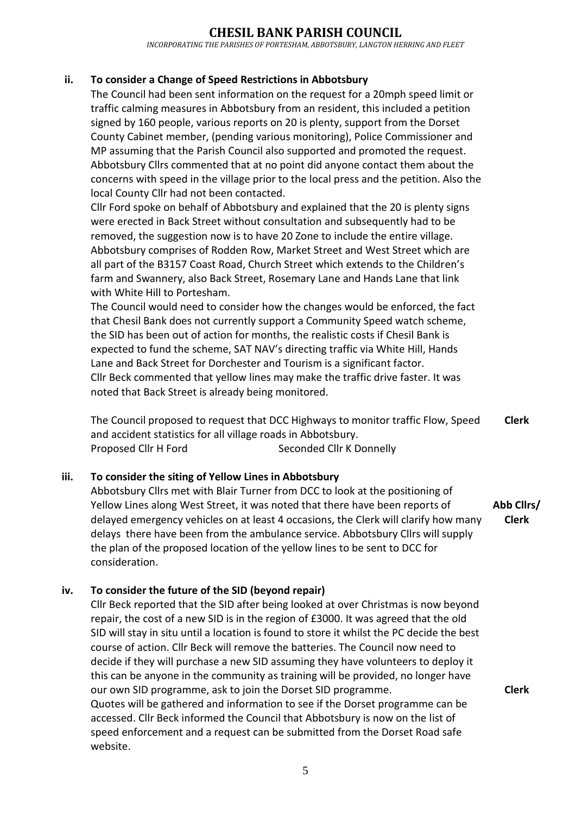# ESIL BANK PARISH COUNCIL

*INCORPORATING THE PARISHES OF PORTESHAM, ABBOTSBURY, LANGTON HERRING AND FLEET*

#### **ii. To consider a Change of Speed Restrictions in Abbotsbury**

The Council had been sent information on the request for a 20mph speed limit or traffic calming measures in Abbotsbury from an resident, this included a petition signed by 160 people, various reports on 20 is plenty, support from the Dorset County Cabinet member, (pending various monitoring), Police Commissioner and MP assuming that the Parish Council also supported and promoted the request. Abbotsbury Cllrs commented that at no point did anyone contact them about the concerns with speed in the village prior to the local press and the petition. Also the local County Cllr had not been contacted.

Cllr Ford spoke on behalf of Abbotsbury and explained that the 20 is plenty signs were erected in Back Street without consultation and subsequently had to be removed, the suggestion now is to have 20 Zone to include the entire village. Abbotsbury comprises of Rodden Row, Market Street and West Street which are all part of the B3157 Coast Road, Church Street which extends to the Children's farm and Swannery, also Back Street, Rosemary Lane and Hands Lane that link with White Hill to Portesham.

The Council would need to consider how the changes would be enforced, the fact that Chesil Bank does not currently support a Community Speed watch scheme, the SID has been out of action for months, the realistic costs if Chesil Bank is expected to fund the scheme, SAT NAV's directing traffic via White Hill, Hands Lane and Back Street for Dorchester and Tourism is a significant factor. Cllr Beck commented that yellow lines may make the traffic drive faster. It was noted that Back Street is already being monitored.

The Council proposed to request that DCC Highways to monitor traffic Flow, Speed and accident statistics for all village roads in Abbotsbury. Proposed Cllr H Ford Seconded Cllr K Donnelly **Clerk**

#### **iii. To consider the siting of Yellow Lines in Abbotsbury**

Abbotsbury Cllrs met with Blair Turner from DCC to look at the positioning of Yellow Lines along West Street, it was noted that there have been reports of delayed emergency vehicles on at least 4 occasions, the Clerk will clarify how many delays there have been from the ambulance service. Abbotsbury Cllrs will supply the plan of the proposed location of the yellow lines to be sent to DCC for consideration. **Abb Cllrs/ Clerk**

#### **iv. To consider the future of the SID (beyond repair)**

Cllr Beck reported that the SID after being looked at over Christmas is now beyond repair, the cost of a new SID is in the region of £3000. It was agreed that the old SID will stay in situ until a location is found to store it whilst the PC decide the best course of action. Cllr Beck will remove the batteries. The Council now need to decide if they will purchase a new SID assuming they have volunteers to deploy it this can be anyone in the community as training will be provided, no longer have our own SID programme, ask to join the Dorset SID programme. Quotes will be gathered and information to see if the Dorset programme can be accessed. Cllr Beck informed the Council that Abbotsbury is now on the list of speed enforcement and a request can be submitted from the Dorset Road safe website.

**Clerk**